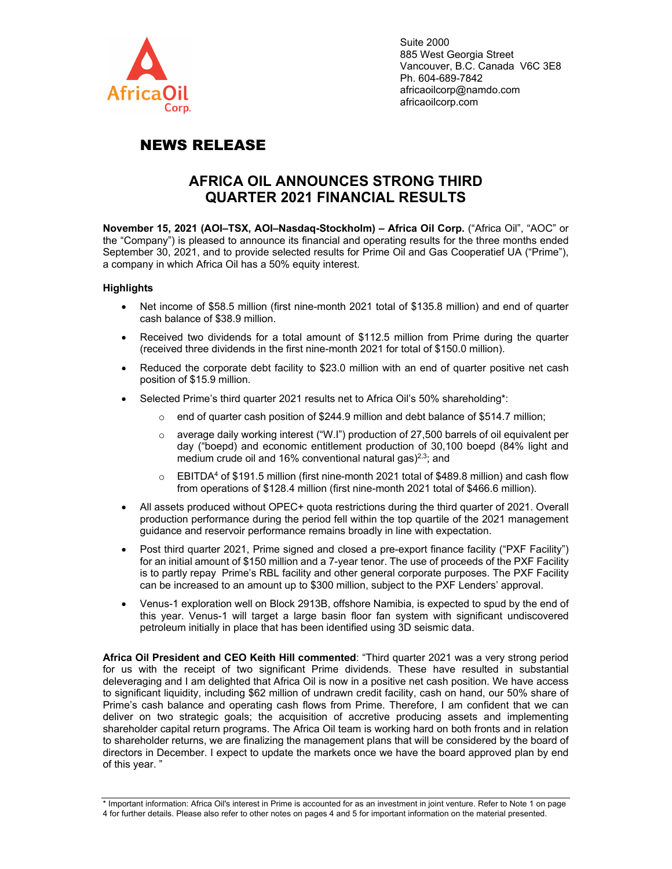

Suite 2000 885 West Georgia Street Vancouver, B.C. Canada V6C 3E8 Ph. 604-689-7842 africaoilcorp@namdo.com africaoilcorp.com

# NEWS RELEASE

## **AFRICA OIL ANNOUNCES STRONG THIRD QUARTER 2021 FINANCIAL RESULTS**

**November 15, 2021 (AOI–TSX, AOI–Nasdaq-Stockholm) – Africa Oil Corp.** ("Africa Oil", "AOC" or the "Company") is pleased to announce its financial and operating results for the three months ended September 30, 2021, and to provide selected results for Prime Oil and Gas Cooperatief UA ("Prime"), a company in which Africa Oil has a 50% equity interest.

## **Highlights**

- Net income of \$58.5 million (first nine-month 2021 total of \$135.8 million) and end of quarter cash balance of \$38.9 million.
- Received two dividends for a total amount of \$112.5 million from Prime during the quarter (received three dividends in the first nine-month 2021 for total of \$150.0 million).
- Reduced the corporate debt facility to \$23.0 million with an end of quarter positive net cash position of \$15.9 million.
- Selected Prime's third quarter 2021 results net to Africa Oil's 50% shareholding\*:
	- $\circ$  end of quarter cash position of \$244.9 million and debt balance of \$514.7 million;
	- o average daily working interest ("W.I") production of 27,500 barrels of oil equivalent per day ("boepd) and economic entitlement production of 30,100 boepd (84% light and medium crude oil and 16% conventional natural gas $2^{3}$ ; and
	- $\circ$  EBITDA<sup>4</sup> of \$191.5 million (first nine-month 2021 total of \$489.8 million) and cash flow from operations of \$128.4 million (first nine-month 2021 total of \$466.6 million).
- All assets produced without OPEC+ quota restrictions during the third quarter of 2021. Overall production performance during the period fell within the top quartile of the 2021 management guidance and reservoir performance remains broadly in line with expectation.
- Post third quarter 2021, Prime signed and closed a pre-export finance facility ("PXF Facility") for an initial amount of \$150 million and a 7-year tenor. The use of proceeds of the PXF Facility is to partly repay Prime's RBL facility and other general corporate purposes. The PXF Facility can be increased to an amount up to \$300 million, subject to the PXF Lenders' approval.
- Venus-1 exploration well on Block 2913B, offshore Namibia, is expected to spud by the end of this year. Venus-1 will target a large basin floor fan system with significant undiscovered petroleum initially in place that has been identified using 3D seismic data.

**Africa Oil President and CEO Keith Hill commented**: "Third quarter 2021 was a very strong period for us with the receipt of two significant Prime dividends. These have resulted in substantial deleveraging and I am delighted that Africa Oil is now in a positive net cash position. We have access to significant liquidity, including \$62 million of undrawn credit facility, cash on hand, our 50% share of Prime's cash balance and operating cash flows from Prime. Therefore, I am confident that we can deliver on two strategic goals; the acquisition of accretive producing assets and implementing shareholder capital return programs. The Africa Oil team is working hard on both fronts and in relation to shareholder returns, we are finalizing the management plans that will be considered by the board of directors in December. I expect to update the markets once we have the board approved plan by end of this year. "

<sup>\*</sup> Important information: Africa Oil's interest in Prime is accounted for as an investment in joint venture. Refer to Note 1 on page 4 for further details. Please also refer to other notes on pages 4 and 5 for important information on the material presented.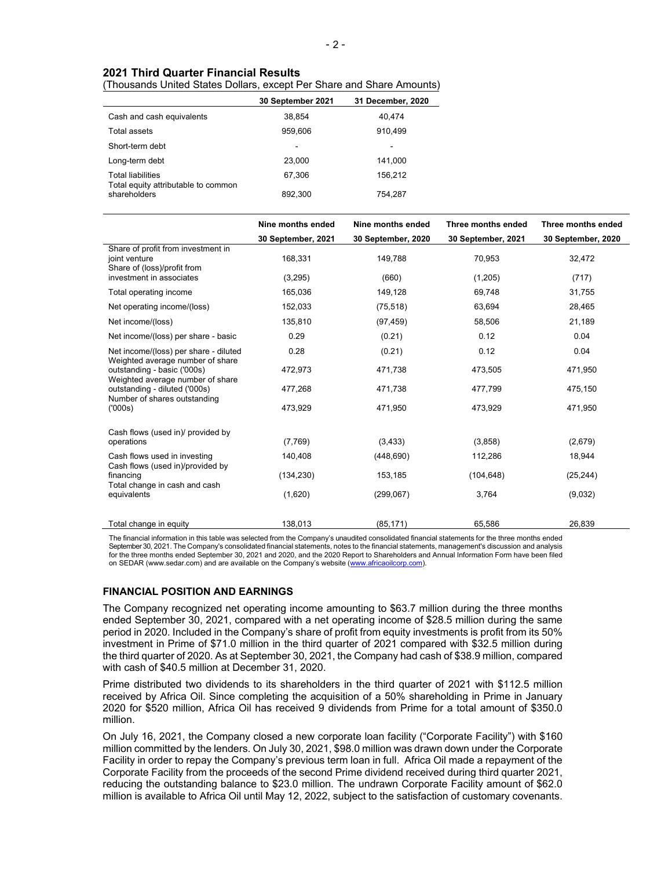## **2021 Third Quarter Financial Results**

## (Thousands United States Dollars, except Per Share and Share Amounts)

|                                                                 | 30 September 2021 | 31 December, 2020 |
|-----------------------------------------------------------------|-------------------|-------------------|
| Cash and cash equivalents                                       | 38,854            | 40,474            |
| Total assets                                                    | 959,606           | 910.499           |
| Short-term debt                                                 |                   |                   |
| Long-term debt                                                  | 23.000            | 141,000           |
| <b>Total liabilities</b><br>Total equity attributable to common | 67,306            | 156,212           |
| shareholders                                                    | 892.300           | 754.287           |

|                                                                                                                | Nine months ended  | Nine months ended  | Three months ended | Three months ended |
|----------------------------------------------------------------------------------------------------------------|--------------------|--------------------|--------------------|--------------------|
|                                                                                                                | 30 September, 2021 | 30 September, 2020 | 30 September, 2021 | 30 September, 2020 |
| Share of profit from investment in<br>joint venture<br>Share of (loss)/profit from<br>investment in associates | 168,331<br>(3,295) | 149,788<br>(660)   | 70,953<br>(1,205)  | 32,472<br>(717)    |
|                                                                                                                |                    |                    |                    |                    |
| Total operating income                                                                                         | 165,036            | 149,128            | 69,748             | 31,755             |
| Net operating income/(loss)                                                                                    | 152,033            | (75, 518)          | 63,694             | 28,465             |
| Net income/(loss)                                                                                              | 135,810            | (97, 459)          | 58,506             | 21,189             |
| Net income/(loss) per share - basic                                                                            | 0.29               | (0.21)             | 0.12               | 0.04               |
| Net income/(loss) per share - diluted<br>Weighted average number of share                                      | 0.28               | (0.21)             | 0.12               | 0.04               |
| outstanding - basic ('000s)<br>Weighted average number of share                                                | 472,973            | 471,738            | 473,505            | 471,950            |
| outstanding - diluted ('000s)<br>Number of shares outstanding                                                  | 477,268            | 471,738            | 477,799            | 475,150            |
| (000s)                                                                                                         | 473,929            | 471,950            | 473.929            | 471,950            |
| Cash flows (used in)/ provided by                                                                              |                    |                    |                    |                    |
| operations                                                                                                     | (7,769)            | (3, 433)           | (3,858)            | (2,679)            |
| Cash flows used in investing<br>Cash flows (used in)/provided by                                               | 140,408            | (448, 690)         | 112,286            | 18,944             |
| financing<br>Total change in cash and cash                                                                     | (134, 230)         | 153,185            | (104, 648)         | (25, 244)          |
| equivalents                                                                                                    | (1,620)            | (299,067)          | 3,764              | (9,032)            |
| Total change in equity                                                                                         | 138,013            | (85, 171)          | 65,586             | 26,839             |

The financial information in this table was selected from the Company's unaudited consolidated financial statements for the three months ended September 30, 2021. The Company's consolidated financial statements, notes to the financial statements, management's discussion and analysis for the three months ended September 30, 2021 and 2020, and the 2020 Report to Shareholders and Annual Information Form have been filed on SEDAR (www.sedar.com) and are available on the Company's website (www.africaoilcorp.com).

#### **FINANCIAL POSITION AND EARNINGS**

The Company recognized net operating income amounting to \$63.7 million during the three months ended September 30, 2021, compared with a net operating income of \$28.5 million during the same period in 2020. Included in the Company's share of profit from equity investments is profit from its 50% investment in Prime of \$71.0 million in the third quarter of 2021 compared with \$32.5 million during the third quarter of 2020. As at September 30, 2021, the Company had cash of \$38.9 million, compared with cash of \$40.5 million at December 31, 2020.

Prime distributed two dividends to its shareholders in the third quarter of 2021 with \$112.5 million received by Africa Oil. Since completing the acquisition of a 50% shareholding in Prime in January 2020 for \$520 million, Africa Oil has received 9 dividends from Prime for a total amount of \$350.0 million.

On July 16, 2021, the Company closed a new corporate loan facility ("Corporate Facility") with \$160 million committed by the lenders. On July 30, 2021, \$98.0 million was drawn down under the Corporate Facility in order to repay the Company's previous term loan in full. Africa Oil made a repayment of the Corporate Facility from the proceeds of the second Prime dividend received during third quarter 2021, reducing the outstanding balance to \$23.0 million. The undrawn Corporate Facility amount of \$62.0 million is available to Africa Oil until May 12, 2022, subject to the satisfaction of customary covenants.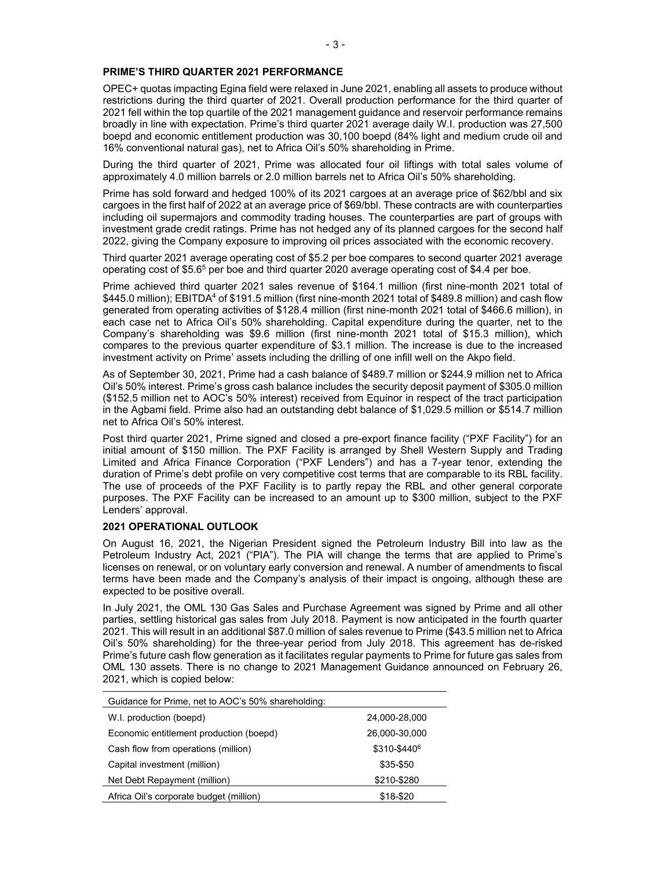OPEC+ quotas impacting Egina field were relaxed in June 2021, enabling all assets to produce without restrictions during the third quarter of 2021. Overall production performance for the third quarter of 2021 fell within the top quartile of the 2021 management guidance and reservoir performance remains broadly in line with expectation. Prime's third quarter 2021 average daily W.I. production was 27,500 boepd and economic entitlement production was 30,100 boepd (84% light and medium crude oil and 16% conventional natural gas), net to Africa Oil's 50% shareholding in Prime.

During the third quarter of 2021, Prime was allocated four oil liftings with total sales volume of approximately 4.0 million barrels or 2.0 million barrels net to Africa Oil's 50% shareholding.

Prime has sold forward and hedged 100% of its 2021 cargoes at an average price of \$62/bbl and six cargoes in the first half of 2022 at an average price of \$69/bbl. These contracts are with counterparties including oil supermajors and commodity trading houses. The counterparties are part of groups with investment grade credit ratings. Prime has not hedged any of its planned cargoes for the second half 2022, giving the Company exposure to improving oil prices associated with the economic recovery.

Third quarter 2021 average operating cost of \$5.2 per boe compares to second quarter 2021 average operating cost of  $$5.6<sup>5</sup>$  per boe and third quarter 2020 average operating cost of \$4.4 per boe.

Prime achieved third quarter 2021 sales revenue of \$164.1 million (first nine-month 2021 total of  $$445.0$  million); EBITDA<sup>4</sup> of \$191.5 million (first nine-month 2021 total of \$489.8 million) and cash flow generated from operating activities of \$128.4 million (first nine-month 2021 total of \$466.6 million), in each case net to Africa Oil's 50% shareholding. Capital expenditure during the quarter, net to the Company's shareholding was \$9.6 million (first nine-month 2021 total of \$15.3 million), which compares to the previous quarter expenditure of \$3.1 million. The increase is due to the increased investment activity on Prime' assets including the drilling of one infill well on the Akpo field.

As of September 30, 2021, Prime had a cash balance of \$489.7 million or \$244.9 million net to Africa Oil's 50% interest. Prime's gross cash balance includes the security deposit payment of \$305.0 million (\$152.5 million net to AOC's 50% interest) received from Equinor in respect of the tract participation in the Agbami field. Prime also had an outstanding debt balance of \$1,029.5 million or \$514.7 million net to Africa Oil's 50% interest.

Post third quarter 2021, Prime signed and closed a pre-export finance facility ("PXF Facility") for an initial amount of \$150 million. The PXF Facility is arranged by Shell Western Supply and Trading Limited and Africa Finance Corporation ("PXF Lenders") and has a 7-year tenor, extending the duration of Prime's debt profile on very competitive cost terms that are comparable to its RBL facility. The use of proceeds of the PXF Facility is to partly repay the RBL and other general corporate purposes. The PXF Facility can be increased to an amount up to \$300 million, subject to the PXF Lenders' approval.

### **2021 OPERATIONAL OUTLOOK**

On August 16, 2021, the Nigerian President signed the Petroleum Industry Bill into law as the Petroleum Industry Act, 2021 ("PIA"). The PIA will change the terms that are applied to Prime's licenses on renewal, or on voluntary early conversion and renewal. A number of amendments to fiscal terms have been made and the Company's analysis of their impact is ongoing, although these are expected to be positive overall.

In July 2021, the OML 130 Gas Sales and Purchase Agreement was signed by Prime and all other parties, settling historical gas sales from July 2018. Payment is now anticipated in the fourth quarter 2021. This will result in an additional \$87.0 million of sales revenue to Prime (\$43.5 million net to Africa Oil's 50% shareholding) for the three-year period from July 2018. This agreement has de-risked Prime's future cash flow generation as it facilitates regular payments to Prime for future gas sales from OML 130 assets. There is no change to 2021 Management Guidance announced on February 26, 2021, which is copied below:

| Guidance for Prime, net to AOC's 50% shareholding: |               |  |
|----------------------------------------------------|---------------|--|
| W.I. production (boepd)                            | 24,000-28,000 |  |
| Economic entitlement production (boepd)            | 26,000-30,000 |  |
| Cash flow from operations (million)                | \$310-\$4406  |  |
| Capital investment (million)                       | \$35-\$50     |  |
| Net Debt Repayment (million)                       | \$210-\$280   |  |
| Africa Oil's corporate budget (million)            | \$18-\$20     |  |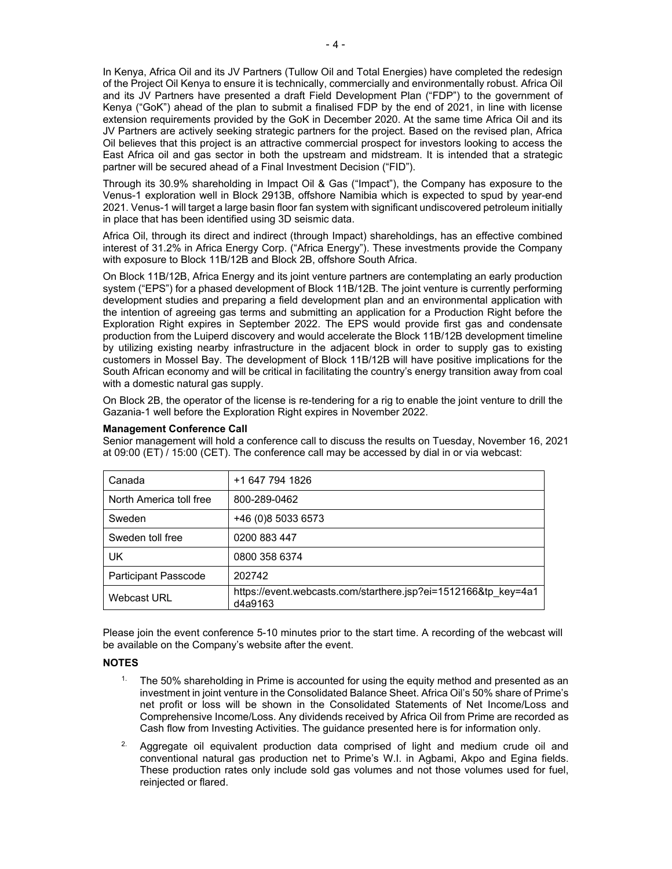In Kenya, Africa Oil and its JV Partners (Tullow Oil and Total Energies) have completed the redesign of the Project Oil Kenya to ensure it is technically, commercially and environmentally robust. Africa Oil and its JV Partners have presented a draft Field Development Plan ("FDP") to the government of Kenya ("GoK") ahead of the plan to submit a finalised FDP by the end of 2021, in line with license extension requirements provided by the GoK in December 2020. At the same time Africa Oil and its JV Partners are actively seeking strategic partners for the project. Based on the revised plan, Africa Oil believes that this project is an attractive commercial prospect for investors looking to access the East Africa oil and gas sector in both the upstream and midstream. It is intended that a strategic partner will be secured ahead of a Final Investment Decision ("FID").

Through its 30.9% shareholding in Impact Oil & Gas ("Impact"), the Company has exposure to the Venus-1 exploration well in Block 2913B, offshore Namibia which is expected to spud by year-end 2021. Venus-1 will target a large basin floor fan system with significant undiscovered petroleum initially in place that has been identified using 3D seismic data.

Africa Oil, through its direct and indirect (through Impact) shareholdings, has an effective combined interest of 31.2% in Africa Energy Corp. ("Africa Energy"). These investments provide the Company with exposure to Block 11B/12B and Block 2B, offshore South Africa.

On Block 11B/12B, Africa Energy and its joint venture partners are contemplating an early production system ("EPS") for a phased development of Block 11B/12B. The joint venture is currently performing development studies and preparing a field development plan and an environmental application with the intention of agreeing gas terms and submitting an application for a Production Right before the Exploration Right expires in September 2022. The EPS would provide first gas and condensate production from the Luiperd discovery and would accelerate the Block 11B/12B development timeline by utilizing existing nearby infrastructure in the adjacent block in order to supply gas to existing customers in Mossel Bay. The development of Block 11B/12B will have positive implications for the South African economy and will be critical in facilitating the country's energy transition away from coal with a domestic natural gas supply.

On Block 2B, the operator of the license is re-tendering for a rig to enable the joint venture to drill the Gazania-1 well before the Exploration Right expires in November 2022.

## **Management Conference Call**

Senior management will hold a conference call to discuss the results on Tuesday, November 16, 2021 at 09:00 (ET) / 15:00 (CET). The conference call may be accessed by dial in or via webcast:

| Canada                      | +1 647 794 1826                                                           |
|-----------------------------|---------------------------------------------------------------------------|
| North America toll free     | 800-289-0462                                                              |
| Sweden                      | +46 (0)8 5033 6573                                                        |
| Sweden toll free            | 0200 883 447                                                              |
| UK                          | 0800 358 6374                                                             |
| <b>Participant Passcode</b> | 202742                                                                    |
| Webcast URL                 | https://event.webcasts.com/starthere.jsp?ei=1512166&tp key=4a1<br>d4a9163 |

Please join the event conference 5-10 minutes prior to the start time. A recording of the webcast will be available on the Company's website after the event.

#### **NOTES**

- <sup>1.</sup> The 50% shareholding in Prime is accounted for using the equity method and presented as an investment in joint venture in the Consolidated Balance Sheet. Africa Oil's 50% share of Prime's net profit or loss will be shown in the Consolidated Statements of Net Income/Loss and Comprehensive Income/Loss. Any dividends received by Africa Oil from Prime are recorded as Cash flow from Investing Activities. The guidance presented here is for information only.
- <sup>2.</sup> Aggregate oil equivalent production data comprised of light and medium crude oil and conventional natural gas production net to Prime's W.I. in Agbami, Akpo and Egina fields. These production rates only include sold gas volumes and not those volumes used for fuel, reinjected or flared.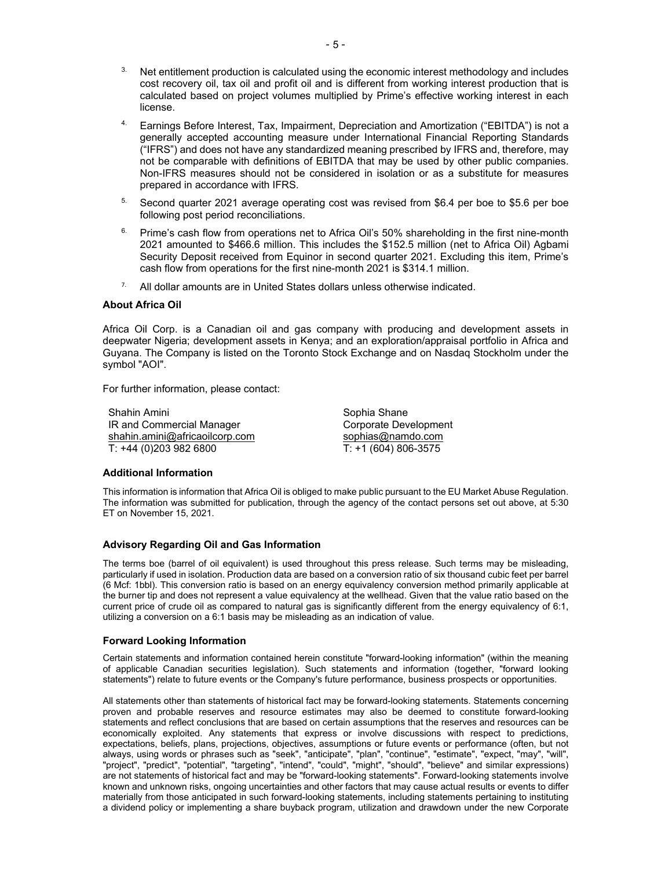- $3.$  Net entitlement production is calculated using the economic interest methodology and includes cost recovery oil, tax oil and profit oil and is different from working interest production that is calculated based on project volumes multiplied by Prime's effective working interest in each license.
- 4. Earnings Before Interest, Tax, Impairment, Depreciation and Amortization ("EBITDA") is not a generally accepted accounting measure under International Financial Reporting Standards ("IFRS") and does not have any standardized meaning prescribed by IFRS and, therefore, may not be comparable with definitions of EBITDA that may be used by other public companies. Non-IFRS measures should not be considered in isolation or as a substitute for measures prepared in accordance with IFRS.
- <sup>5.</sup> Second quarter 2021 average operating cost was revised from \$6.4 per boe to \$5.6 per boe following post period reconciliations.
- $6.$  Prime's cash flow from operations net to Africa Oil's 50% shareholding in the first nine-month 2021 amounted to \$466.6 million. This includes the \$152.5 million (net to Africa Oil) Agbami Security Deposit received from Equinor in second quarter 2021. Excluding this item, Prime's cash flow from operations for the first nine-month 2021 is \$314.1 million.
- $7.$  All dollar amounts are in United States dollars unless otherwise indicated.

#### **About Africa Oil**

Africa Oil Corp. is a Canadian oil and gas company with producing and development assets in deepwater Nigeria; development assets in Kenya; and an exploration/appraisal portfolio in Africa and Guyana. The Company is listed on the Toronto Stock Exchange and on Nasdaq Stockholm under the symbol "AOI".

For further information, please contact:

Shahin Amini IR and Commercial Manager shahin.amini@africaoilcorp.com T: +44 (0)203 982 6800

Sophia Shane Corporate Development sophias@namdo.com T: +1 (604) 806-3575

#### **Additional Information**

This information is information that Africa Oil is obliged to make public pursuant to the EU Market Abuse Regulation. The information was submitted for publication, through the agency of the contact persons set out above, at 5:30 ET on November 15, 2021.

#### **Advisory Regarding Oil and Gas Information**

The terms boe (barrel of oil equivalent) is used throughout this press release. Such terms may be misleading, particularly if used in isolation. Production data are based on a conversion ratio of six thousand cubic feet per barrel (6 Mcf: 1bbl). This conversion ratio is based on an energy equivalency conversion method primarily applicable at the burner tip and does not represent a value equivalency at the wellhead. Given that the value ratio based on the current price of crude oil as compared to natural gas is significantly different from the energy equivalency of 6:1, utilizing a conversion on a 6:1 basis may be misleading as an indication of value.

#### **Forward Looking Information**

Certain statements and information contained herein constitute "forward-looking information" (within the meaning of applicable Canadian securities legislation). Such statements and information (together, "forward looking statements") relate to future events or the Company's future performance, business prospects or opportunities.

All statements other than statements of historical fact may be forward-looking statements. Statements concerning proven and probable reserves and resource estimates may also be deemed to constitute forward-looking statements and reflect conclusions that are based on certain assumptions that the reserves and resources can be economically exploited. Any statements that express or involve discussions with respect to predictions, expectations, beliefs, plans, projections, objectives, assumptions or future events or performance (often, but not always, using words or phrases such as "seek", "anticipate", "plan", "continue", "estimate", "expect, "may", "will", "project", "predict", "potential", "targeting", "intend", "could", "might", "should", "believe" and similar expressions) are not statements of historical fact and may be "forward-looking statements". Forward-looking statements involve known and unknown risks, ongoing uncertainties and other factors that may cause actual results or events to differ materially from those anticipated in such forward-looking statements, including statements pertaining to instituting a dividend policy or implementing a share buyback program, utilization and drawdown under the new Corporate